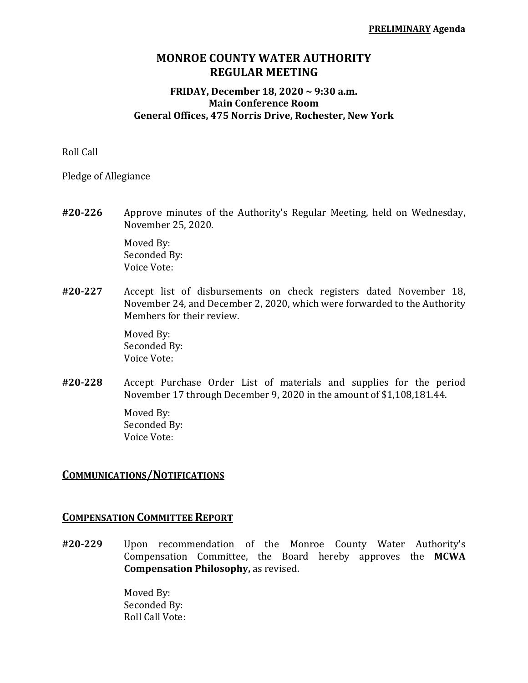# **MONROE COUNTY WATER AUTHORITY REGULAR MEETING**

#### **FRIDAY, December 18, 2020 ~ 9:30 a.m. Main Conference Room General Offices, 475 Norris Drive, Rochester, New York**

Roll Call

Pledge of Allegiance

**#20‐226** Approve minutes of the Authority's Regular Meeting, held on Wednesday, November 25, 2020.

> Moved By: Seconded By: Voice Vote:

**#20‐227** Accept list of disbursements on check registers dated November 18, November 24, and December 2, 2020, which were forwarded to the Authority Members for their review.

> Moved By: Seconded By: Voice Vote:

**#20‐228** Accept Purchase Order List of materials and supplies for the period November 17 through December 9, 2020 in the amount of \$1,108,181.44.

> Moved By: Seconded By: Voice Vote:

#### **COMMUNICATIONS/NOTIFICATIONS**

#### **COMPENSATION COMMITTEE REPORT**

**#20‐229** Upon recommendation of the Monroe County Water Authority's Compensation Committee, the Board hereby approves the **MCWA Compensation Philosophy,** as revised.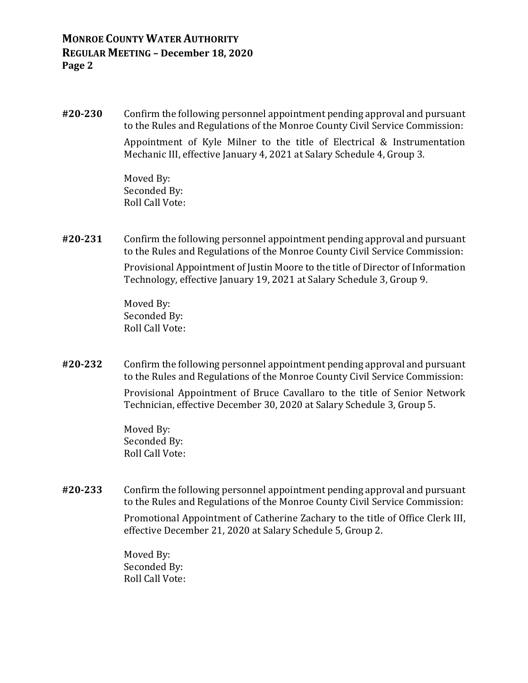**#20‐230** Confirm the following personnel appointment pending approval and pursuant to the Rules and Regulations of the Monroe County Civil Service Commission:

> Appointment of Kyle Milner to the title of Electrical & Instrumentation Mechanic III, effective January 4, 2021 at Salary Schedule 4, Group 3.

 Moved By: Seconded By: Roll Call Vote:

**#20‐231** Confirm the following personnel appointment pending approval and pursuant to the Rules and Regulations of the Monroe County Civil Service Commission:

> Provisional Appointment of Justin Moore to the title of Director of Information Technology, effective January 19, 2021 at Salary Schedule 3, Group 9.

 Moved By: Seconded By: Roll Call Vote:

**#20‐232** Confirm the following personnel appointment pending approval and pursuant to the Rules and Regulations of the Monroe County Civil Service Commission:

> Provisional Appointment of Bruce Cavallaro to the title of Senior Network Technician, effective December 30, 2020 at Salary Schedule 3, Group 5.

 Moved By: Seconded By: Roll Call Vote:

**#20‐233** Confirm the following personnel appointment pending approval and pursuant to the Rules and Regulations of the Monroe County Civil Service Commission:

> Promotional Appointment of Catherine Zachary to the title of Office Clerk III, effective December 21, 2020 at Salary Schedule 5, Group 2.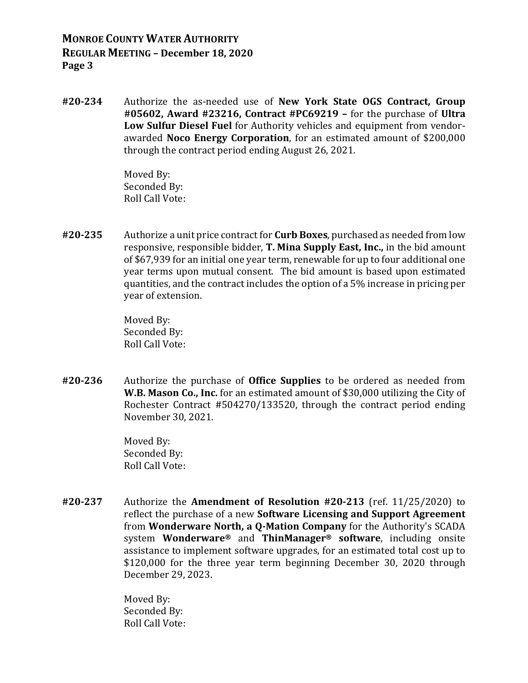**#20‐234** Authorize the as-needed use of **New York State OGS Contract, Group #05602, Award #23216, Contract #PC69219 –** for the purchase of **Ultra Low Sulfur Diesel Fuel** for Authority vehicles and equipment from vendorawarded **Noco Energy Corporation**, for an estimated amount of \$200,000 through the contract period ending August 26, 2021.

> Moved By: Seconded By: Roll Call Vote:

**#20‐235** Authorize a unit price contract for **Curb Boxes**, purchased as needed from low responsive, responsible bidder, **T. Mina Supply East, Inc.,** in the bid amount of \$67,939 for an initial one year term, renewable for up to four additional one year terms upon mutual consent. The bid amount is based upon estimated quantities, and the contract includes the option of a 5% increase in pricing per year of extension.

> Moved By: Seconded By: Roll Call Vote:

**#20‐236** Authorize the purchase of **Office Supplies** to be ordered as needed from **W.B. Mason Co., Inc.** for an estimated amount of \$30,000 utilizing the City of Rochester Contract #504270/133520, through the contract period ending November 30, 2021.

> Moved By: Seconded By: Roll Call Vote:

**#20‐237** Authorize the **Amendment of Resolution #20‐213** (ref. 11/25/2020) to reflect the purchase of a new **Software Licensing and Support Agreement** from **Wonderware North, a Q‐Mation Company** for the Authority's SCADA system **Wonderware®** and **ThinManager® software**, including onsite assistance to implement software upgrades, for an estimated total cost up to \$120,000 for the three year term beginning December 30, 2020 through December 29, 2023.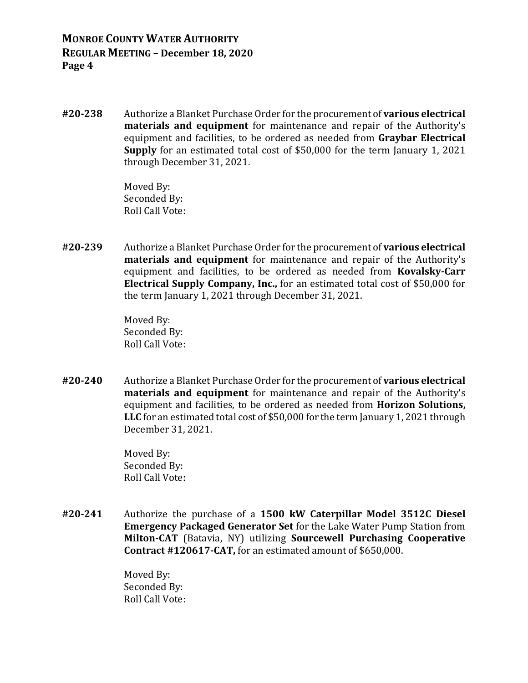**#20‐238** Authorize a Blanket Purchase Order for the procurement of **various electrical materials and equipment** for maintenance and repair of the Authority's equipment and facilities, to be ordered as needed from **Graybar Electrical Supply** for an estimated total cost of \$50,000 for the term January 1, 2021 through December 31, 2021.

> Moved By: Seconded By: Roll Call Vote:

**#20‐239** Authorize a Blanket Purchase Order for the procurement of **various electrical materials and equipment** for maintenance and repair of the Authority's equipment and facilities, to be ordered as needed from **Kovalsky‐Carr Electrical Supply Company, Inc.,** for an estimated total cost of \$50,000 for the term January 1, 2021 through December 31, 2021.

> Moved By: Seconded By: Roll Call Vote:

**#20‐240** Authorize a Blanket Purchase Order for the procurement of **various electrical materials and equipment** for maintenance and repair of the Authority's equipment and facilities, to be ordered as needed from **Horizon Solutions, LLC** for an estimated total cost of \$50,000 for the term January 1, 2021 through December 31, 2021.

> Moved By: Seconded By: Roll Call Vote:

**#20‐241** Authorize the purchase of a **1500 kW Caterpillar Model 3512C Diesel Emergency Packaged Generator Set** for the Lake Water Pump Station from **Milton‐CAT** (Batavia, NY) utilizing **Sourcewell Purchasing Cooperative Contract #120617‐CAT,** for an estimated amount of \$650,000.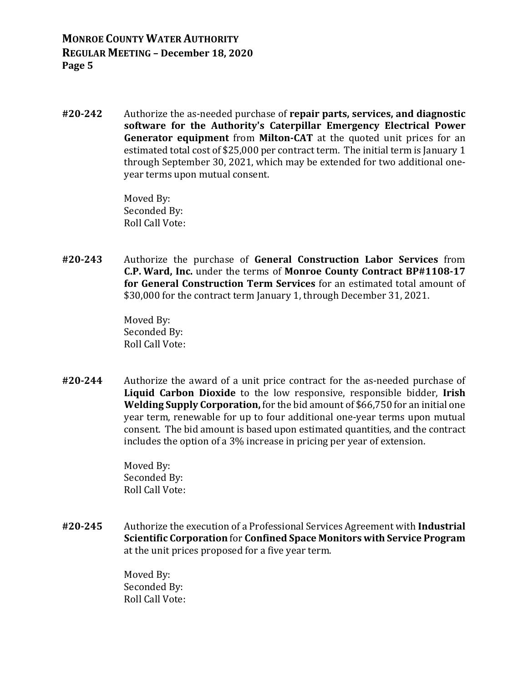**#20‐242** Authorize the as-needed purchase of **repair parts, services, and diagnostic software for the Authority's Caterpillar Emergency Electrical Power Generator equipment** from **Milton‐CAT** at the quoted unit prices for an estimated total cost of \$25,000 per contract term. The initial term is January 1 through September 30, 2021, which may be extended for two additional oneyear terms upon mutual consent.

> Moved By: Seconded By: Roll Call Vote:

**#20‐243** Authorize the purchase of **General Construction Labor Services** from **C.P. Ward, Inc.** under the terms of **Monroe County Contract BP#1108‐17 for General Construction Term Services** for an estimated total amount of \$30,000 for the contract term January 1, through December 31, 2021.

> Moved By: Seconded By: Roll Call Vote:

**#20‐244** Authorize the award of a unit price contract for the as-needed purchase of **Liquid Carbon Dioxide** to the low responsive, responsible bidder, **Irish Welding Supply Corporation,** for the bid amount of \$66,750 for an initial one year term, renewable for up to four additional one-year terms upon mutual consent. The bid amount is based upon estimated quantities, and the contract includes the option of a 3% increase in pricing per year of extension.

> Moved By: Seconded By: Roll Call Vote:

**#20‐245** Authorize the execution of a Professional Services Agreement with **Industrial Scientific Corporation** for **Confined Space Monitors with Service Program** at the unit prices proposed for a five year term.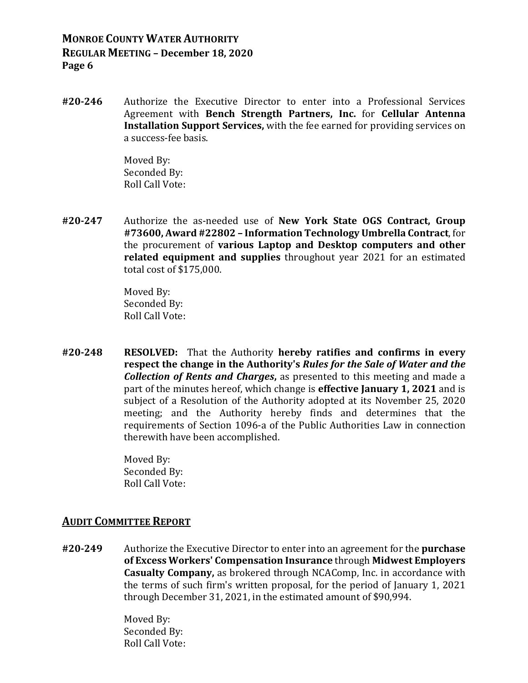**#20‐246** Authorize the Executive Director to enter into a Professional Services Agreement with **Bench Strength Partners, Inc.** for **Cellular Antenna Installation Support Services,** with the fee earned for providing services on a success-fee basis.

> Moved By: Seconded By: Roll Call Vote:

**#20‐247** Authorize the as-needed use of **New York State OGS Contract, Group #73600, Award #22802 – Information Technology Umbrella Contract**, for the procurement of **various Laptop and Desktop computers and other related equipment and supplies** throughout year 2021 for an estimated total cost of \$175,000.

> Moved By: Seconded By: Roll Call Vote:

**#20‐248 RESOLVED:**  That the Authority **hereby ratifies and confirms in every respect the change in the Authority's** *Rules for the Sale of Water and the Collection of Rents and Charges***,** as presented to this meeting and made a part of the minutes hereof, which change is **effective January 1, 2021** and is subject of a Resolution of the Authority adopted at its November 25, 2020 meeting; and the Authority hereby finds and determines that the requirements of Section 1096-a of the Public Authorities Law in connection therewith have been accomplished.

> Moved By: Seconded By: Roll Call Vote:

### **AUDIT COMMITTEE REPORT**

**#20‐249** Authorize the Executive Director to enter into an agreement for the **purchase of Excess Workers' Compensation Insurance** through **Midwest Employers Casualty Company,** as brokered through NCAComp, Inc. in accordance with the terms of such firm's written proposal, for the period of January 1, 2021 through December 31, 2021, in the estimated amount of \$90,994.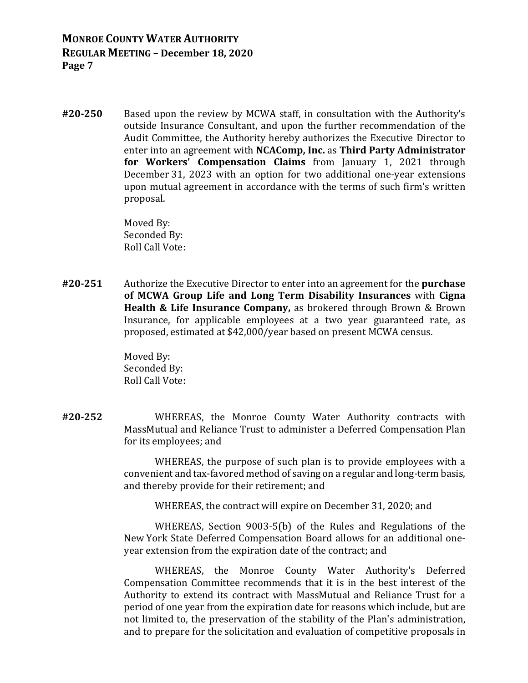**#20‐250** Based upon the review by MCWA staff, in consultation with the Authority's outside Insurance Consultant, and upon the further recommendation of the Audit Committee, the Authority hereby authorizes the Executive Director to enter into an agreement with **NCAComp, Inc.** as **Third Party Administrator for Workers' Compensation Claims** from January 1, 2021 through December 31, 2023 with an option for two additional one-year extensions upon mutual agreement in accordance with the terms of such firm's written proposal.

> Moved By: Seconded By: Roll Call Vote:

**#20‐251** Authorize the Executive Director to enter into an agreement for the **purchase of MCWA Group Life and Long Term Disability Insurances** with **Cigna Health & Life Insurance Company,** as brokered through Brown & Brown Insurance, for applicable employees at a two year guaranteed rate, as proposed, estimated at \$42,000/year based on present MCWA census.

> Moved By: Seconded By: Roll Call Vote:

**#20‐252** WHEREAS, the Monroe County Water Authority contracts with MassMutual and Reliance Trust to administer a Deferred Compensation Plan for its employees; and

> WHEREAS, the purpose of such plan is to provide employees with a convenient and tax-favored method of saving on a regular and long-term basis, and thereby provide for their retirement; and

WHEREAS, the contract will expire on December 31, 2020; and

WHEREAS, Section 9003-5(b) of the Rules and Regulations of the New York State Deferred Compensation Board allows for an additional oneyear extension from the expiration date of the contract; and

WHEREAS, the Monroe County Water Authority's Deferred Compensation Committee recommends that it is in the best interest of the Authority to extend its contract with MassMutual and Reliance Trust for a period of one year from the expiration date for reasons which include, but are not limited to, the preservation of the stability of the Plan's administration, and to prepare for the solicitation and evaluation of competitive proposals in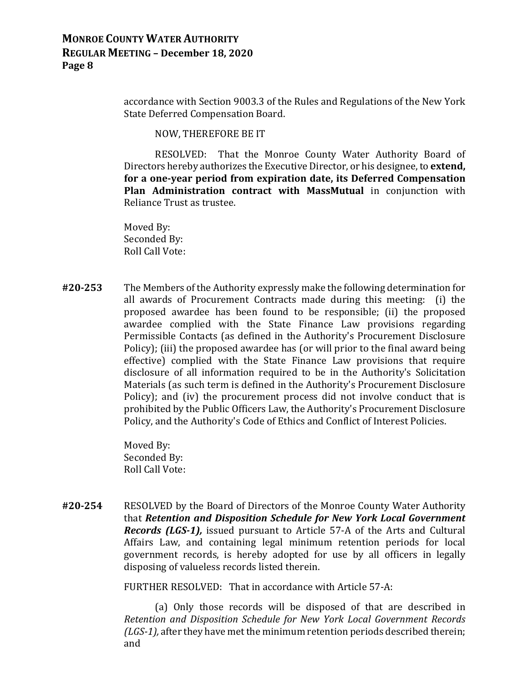accordance with Section 9003.3 of the Rules and Regulations of the New York State Deferred Compensation Board.

NOW, THEREFORE BE IT

RESOLVED: That the Monroe County Water Authority Board of Directors hereby authorizes the Executive Director, or his designee, to **extend, for a one‐year period from expiration date, its Deferred Compensation Plan Administration contract with MassMutual** in conjunction with Reliance Trust as trustee.

 Moved By: Seconded By: Roll Call Vote:

**#20‐253** The Members of the Authority expressly make the following determination for all awards of Procurement Contracts made during this meeting: (i) the proposed awardee has been found to be responsible; (ii) the proposed awardee complied with the State Finance Law provisions regarding Permissible Contacts (as defined in the Authority's Procurement Disclosure Policy); (iii) the proposed awardee has (or will prior to the final award being effective) complied with the State Finance Law provisions that require disclosure of all information required to be in the Authority's Solicitation Materials (as such term is defined in the Authority's Procurement Disclosure Policy); and (iv) the procurement process did not involve conduct that is prohibited by the Public Officers Law, the Authority's Procurement Disclosure Policy, and the Authority's Code of Ethics and Conflict of Interest Policies.

> Moved By: Seconded By: Roll Call Vote:

**#20‐254** RESOLVED by the Board of Directors of the Monroe County Water Authority that *Retention and Disposition Schedule for New York Local Government Records (LGS‐1),* issued pursuant to Article 57-A of the Arts and Cultural Affairs Law, and containing legal minimum retention periods for local government records, is hereby adopted for use by all officers in legally disposing of valueless records listed therein.

FURTHER RESOLVED: That in accordance with Article 57-A:

 (a) Only those records will be disposed of that are described in *Retention and Disposition Schedule for New York Local Government Records (LGS‐1),* after they have met the minimum retention periods described therein; and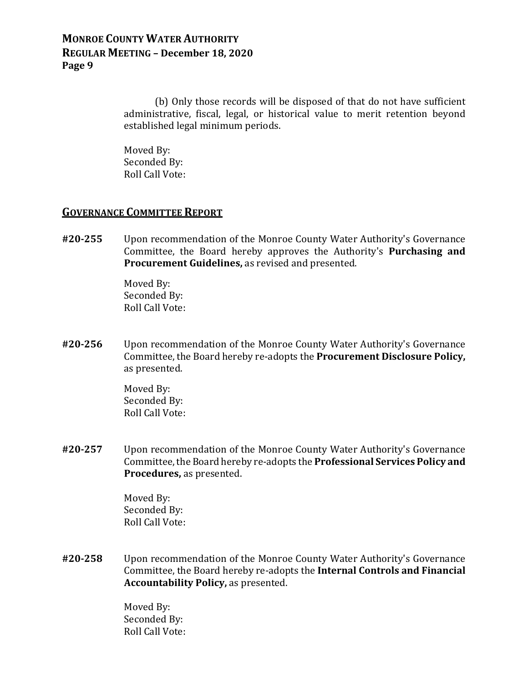(b) Only those records will be disposed of that do not have sufficient administrative, fiscal, legal, or historical value to merit retention beyond established legal minimum periods.

 Moved By: Seconded By: Roll Call Vote:

#### **GOVERNANCE COMMITTEE REPORT**

**#20‐255** Upon recommendation of the Monroe County Water Authority's Governance Committee, the Board hereby approves the Authority's **Purchasing and Procurement Guidelines,** as revised and presented.

> Moved By: Seconded By: Roll Call Vote:

**#20‐256** Upon recommendation of the Monroe County Water Authority's Governance Committee, the Board hereby re-adopts the **Procurement Disclosure Policy,** as presented.

> Moved By: Seconded By: Roll Call Vote:

**#20‐257** Upon recommendation of the Monroe County Water Authority's Governance Committee, the Board hereby re-adopts the **Professional Services Policy and Procedures,** as presented.

> Moved By: Seconded By: Roll Call Vote:

**#20‐258** Upon recommendation of the Monroe County Water Authority's Governance Committee, the Board hereby re-adopts the **Internal Controls and Financial Accountability Policy,** as presented.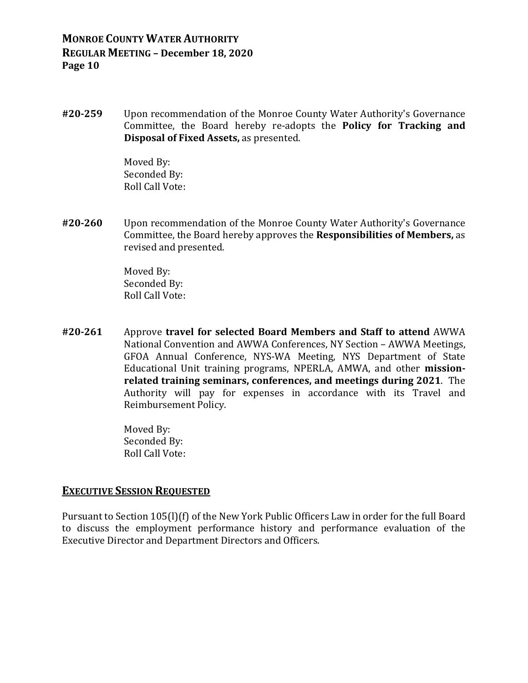**#20‐259** Upon recommendation of the Monroe County Water Authority's Governance Committee, the Board hereby re-adopts the **Policy for Tracking and Disposal of Fixed Assets,** as presented.

> Moved By: Seconded By: Roll Call Vote:

**#20‐260** Upon recommendation of the Monroe County Water Authority's Governance Committee, the Board hereby approves the **Responsibilities of Members,** as revised and presented.

> Moved By: Seconded By: Roll Call Vote:

**#20‐261** Approve **travel for selected Board Members and Staff to attend** AWWA National Convention and AWWA Conferences, NY Section – AWWA Meetings, GFOA Annual Conference, NYS-WA Meeting, NYS Department of State Educational Unit training programs, NPERLA, AMWA, and other **mission‐ related training seminars, conferences, and meetings during 2021**. The Authority will pay for expenses in accordance with its Travel and Reimbursement Policy.

> Moved By: Seconded By: Roll Call Vote:

#### **EXECUTIVE SESSION REQUESTED**

Pursuant to Section 105(l)(f) of the New York Public Officers Law in order for the full Board to discuss the employment performance history and performance evaluation of the Executive Director and Department Directors and Officers.